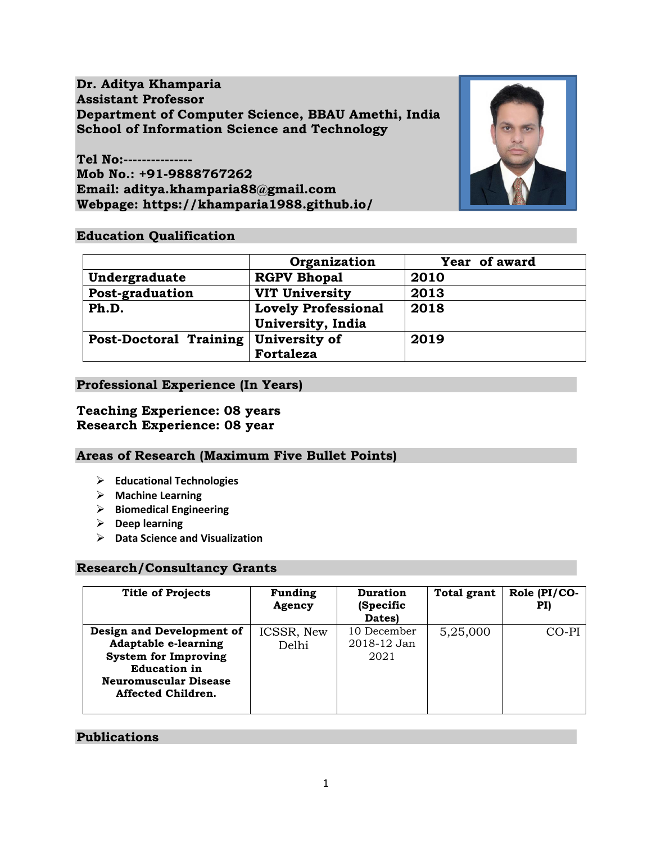**Dr. Aditya Khamparia Assistant Professor Department of Computer Science, BBAU Amethi, India School of Information Science and Technology**

**Tel No:--------------- Mob No.: +91-9888767262 Email: aditya.khamparia88@gmail.com Webpage: https://khamparia1988.github.io/**



## **Education Qualification**

|                               | Organization               | Year of award |
|-------------------------------|----------------------------|---------------|
| Undergraduate                 | <b>RGPV Bhopal</b>         | 2010          |
| Post-graduation               | <b>VIT University</b>      | 2013          |
| Ph.D.                         | <b>Lovely Professional</b> | 2018          |
|                               | University, India          |               |
| <b>Post-Doctoral Training</b> | University of              | 2019          |
|                               | Fortaleza                  |               |

## **Professional Experience (In Years)**

### **Teaching Experience: 08 years Research Experience: 08 year**

### **Areas of Research (Maximum Five Bullet Points)**

- ➢ **Educational Technologies**
- ➢ **Machine Learning**
- ➢ **Biomedical Engineering**
- ➢ **Deep learning**
- ➢ **Data Science and Visualization**

### **Research/Consultancy Grants**

| <b>Title of Projects</b>                                                                                                                                             | <b>Funding</b><br>Agency | <b>Duration</b><br>(Specific<br>Dates) | <b>Total grant</b> | Role (PI/CO-<br>PI) |
|----------------------------------------------------------------------------------------------------------------------------------------------------------------------|--------------------------|----------------------------------------|--------------------|---------------------|
| Design and Development of<br><b>Adaptable e-learning</b><br><b>System for Improving</b><br><b>Education in</b><br><b>Neuromuscular Disease</b><br>Affected Children. | ICSSR, New<br>Delhi      | 10 December<br>2018-12 Jan<br>2021     | 5,25,000           | CO-PI               |

### **Publications**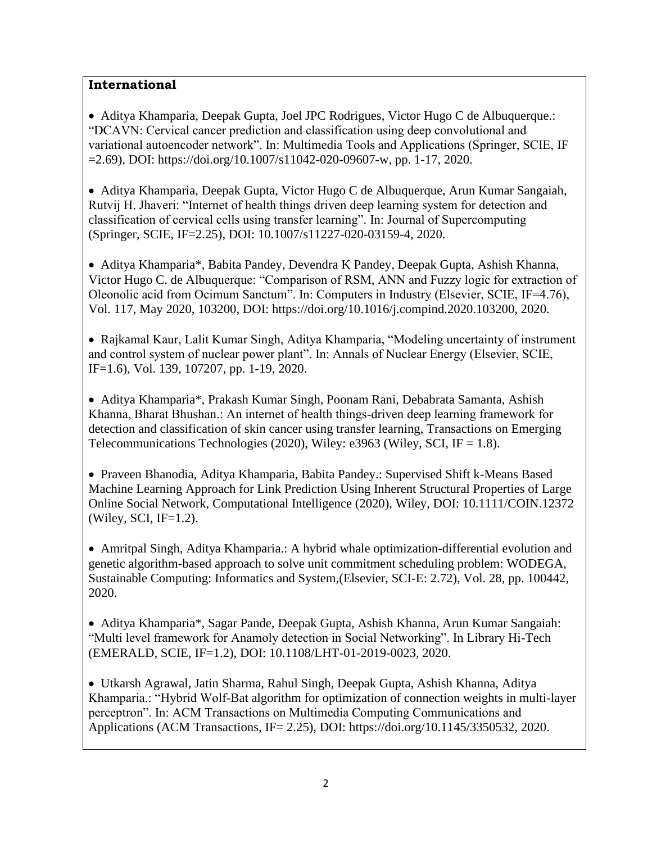# **International**

• Aditya Khamparia, Deepak Gupta, Joel JPC Rodrigues, Victor Hugo C de Albuquerque.: "DCAVN: Cervical cancer prediction and classification using deep convolutional and variational autoencoder network". In: Multimedia Tools and Applications (Springer, SCIE, IF  $=2.69$ ), DOI: https://doi.org/10.1007/s11042-020-09607-w, pp. 1-17, 2020.

• Aditya Khamparia, Deepak Gupta, Victor Hugo C de Albuquerque, Arun Kumar Sangaiah, Rutvij H. Jhaveri: "Internet of health things driven deep learning system for detection and classification of cervical cells using transfer learning". In: Journal of Supercomputing (Springer, SCIE, IF=2.25), DOI: 10.1007/s11227-020-03159-4, 2020.

• Aditya Khamparia\*, Babita Pandey, Devendra K Pandey, Deepak Gupta, Ashish Khanna, Victor Hugo C. de Albuquerque: "Comparison of RSM, ANN and Fuzzy logic for extraction of Oleonolic acid from Ocimum Sanctum". In: Computers in Industry (Elsevier, SCIE, IF=4.76), Vol. 117, May 2020, 103200, DOI: https://doi.org/10.1016/j.compind.2020.103200, 2020.

• Rajkamal Kaur, Lalit Kumar Singh, Aditya Khamparia, "Modeling uncertainty of instrument and control system of nuclear power plant". In: Annals of Nuclear Energy (Elsevier, SCIE, IF=1.6), Vol. 139, 107207, pp. 1-19, 2020.

• Aditya Khamparia\*, Prakash Kumar Singh, Poonam Rani, Debabrata Samanta, Ashish Khanna, Bharat Bhushan.: An internet of health things‐driven deep learning framework for detection and classification of skin cancer using transfer learning, Transactions on Emerging Telecommunications Technologies (2020), Wiley: e3963 (Wiley, SCI, IF = 1.8).

• Praveen Bhanodia, Aditya Khamparia, Babita Pandey.: Supervised Shift k-Means Based Machine Learning Approach for Link Prediction Using Inherent Structural Properties of Large Online Social Network, Computational Intelligence (2020), Wiley, DOI: 10.1111/COIN.12372 (Wiley, SCI, IF=1.2).

• Amritpal Singh, Aditya Khamparia.: A hybrid whale optimization-differential evolution and genetic algorithm-based approach to solve unit commitment scheduling problem: WODEGA, Sustainable Computing: Informatics and System,(Elsevier, SCI-E: 2.72), Vol. 28, pp. 100442, 2020.

• Aditya Khamparia\*, Sagar Pande, Deepak Gupta, Ashish Khanna, Arun Kumar Sangaiah: "Multi level framework for Anamoly detection in Social Networking". In Library Hi-Tech (EMERALD, SCIE, IF=1.2), DOI: 10.1108/LHT-01-2019-0023, 2020.

• Utkarsh Agrawal, Jatin Sharma, Rahul Singh, Deepak Gupta, Ashish Khanna, Aditya Khamparia.: "Hybrid Wolf-Bat algorithm for optimization of connection weights in multi-layer perceptron". In: ACM Transactions on Multimedia Computing Communications and Applications (ACM Transactions, IF= 2.25), DOI: https://doi.org/10.1145/3350532, 2020.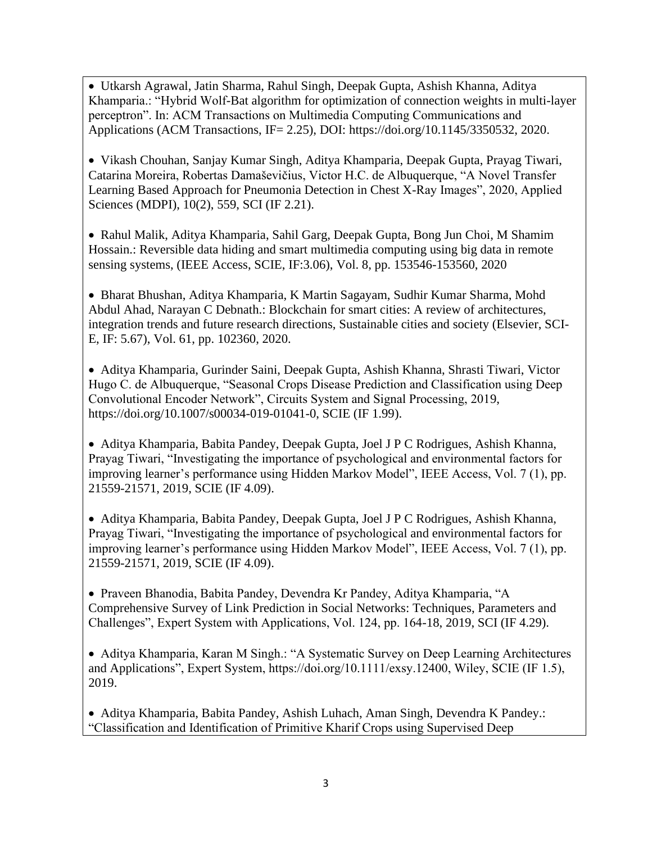• Utkarsh Agrawal, Jatin Sharma, Rahul Singh, Deepak Gupta, Ashish Khanna, Aditya Khamparia.: "Hybrid Wolf-Bat algorithm for optimization of connection weights in multi-layer perceptron". In: ACM Transactions on Multimedia Computing Communications and Applications (ACM Transactions, IF= 2.25), DOI: https://doi.org/10.1145/3350532, 2020.

• Vikash Chouhan, Sanjay Kumar Singh, Aditya Khamparia, Deepak Gupta, Prayag Tiwari, Catarina Moreira, Robertas Damaševičius, Victor H.C. de Albuquerque, "A Novel Transfer Learning Based Approach for Pneumonia Detection in Chest X-Ray Images", 2020, Applied Sciences (MDPI), 10(2), 559, SCI (IF 2.21).

• Rahul Malik, Aditya Khamparia, Sahil Garg, Deepak Gupta, Bong Jun Choi, M Shamim Hossain.: Reversible data hiding and smart multimedia computing using big data in remote sensing systems, (IEEE Access, SCIE, IF:3.06), Vol. 8, pp. 153546-153560, 2020

• Bharat Bhushan, Aditya Khamparia, K Martin Sagayam, Sudhir Kumar Sharma, Mohd Abdul Ahad, Narayan C Debnath.: Blockchain for smart cities: A review of architectures, integration trends and future research directions, Sustainable cities and society (Elsevier, SCI-E, IF: 5.67), Vol. 61, pp. 102360, 2020.

• Aditya Khamparia, Gurinder Saini, Deepak Gupta, Ashish Khanna, Shrasti Tiwari, Victor Hugo C. de Albuquerque, "Seasonal Crops Disease Prediction and Classification using Deep Convolutional Encoder Network", Circuits System and Signal Processing, 2019, https://doi.org/10.1007/s00034-019-01041-0, SCIE (IF 1.99).

• Aditya Khamparia, Babita Pandey, Deepak Gupta, Joel J P C Rodrigues, Ashish Khanna, Prayag Tiwari, "Investigating the importance of psychological and environmental factors for improving learner's performance using Hidden Markov Model", IEEE Access, Vol. 7 (1), pp. 21559-21571, 2019, SCIE (IF 4.09).

• Aditya Khamparia, Babita Pandey, Deepak Gupta, Joel J P C Rodrigues, Ashish Khanna, Prayag Tiwari, "Investigating the importance of psychological and environmental factors for improving learner's performance using Hidden Markov Model", IEEE Access, Vol. 7 (1), pp. 21559-21571, 2019, SCIE (IF 4.09).

• Praveen Bhanodia, Babita Pandey, Devendra Kr Pandey, Aditya Khamparia, "A Comprehensive Survey of Link Prediction in Social Networks: Techniques, Parameters and Challenges", Expert System with Applications, Vol. 124, pp. 164-18, 2019, SCI (IF 4.29).

• Aditya Khamparia, Karan M Singh.: "A Systematic Survey on Deep Learning Architectures and Applications", Expert System, https://doi.org/10.1111/exsy.12400, Wiley, SCIE (IF 1.5), 2019.

• Aditya Khamparia, Babita Pandey, Ashish Luhach, Aman Singh, Devendra K Pandey.: "Classification and Identification of Primitive Kharif Crops using Supervised Deep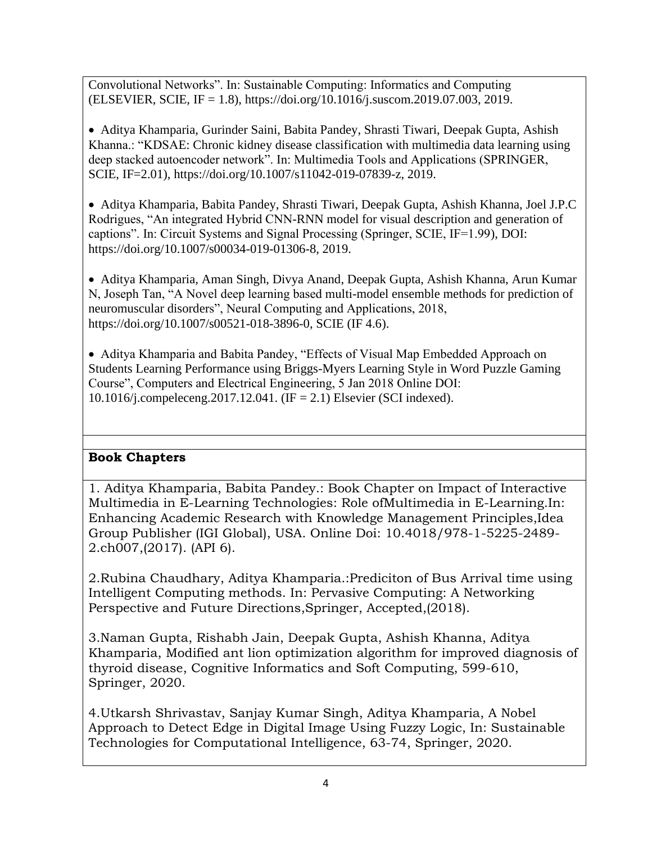Convolutional Networks". In: Sustainable Computing: Informatics and Computing (ELSEVIER, SCIE, IF = 1.8), https://doi.org/10.1016/j.suscom.2019.07.003, 2019.

• Aditya Khamparia, Gurinder Saini, Babita Pandey, Shrasti Tiwari, Deepak Gupta, Ashish Khanna.: "KDSAE: Chronic kidney disease classification with multimedia data learning using deep stacked autoencoder network". In: Multimedia Tools and Applications (SPRINGER, SCIE, IF=2.01), https://doi.org/10.1007/s11042-019-07839-z, 2019.

• Aditya Khamparia, Babita Pandey, Shrasti Tiwari, Deepak Gupta, Ashish Khanna, Joel J.P.C Rodrigues, "An integrated Hybrid CNN-RNN model for visual description and generation of captions". In: Circuit Systems and Signal Processing (Springer, SCIE, IF=1.99), DOI: https://doi.org/10.1007/s00034-019-01306-8, 2019.

• Aditya Khamparia, Aman Singh, Divya Anand, Deepak Gupta, Ashish Khanna, Arun Kumar N, Joseph Tan, "A Novel deep learning based multi-model ensemble methods for prediction of neuromuscular disorders", Neural Computing and Applications, 2018, https://doi.org/10.1007/s00521-018-3896-0, SCIE (IF 4.6).

• Aditya Khamparia and Babita Pandey, "Effects of Visual Map Embedded Approach on Students Learning Performance using Briggs-Myers Learning Style in Word Puzzle Gaming Course", Computers and Electrical Engineering, 5 Jan 2018 Online DOI: 10.1016/j.compeleceng.2017.12.041. (IF = 2.1) Elsevier (SCI indexed).

# **Book Chapters**

1. Aditya Khamparia, Babita Pandey.: Book Chapter on Impact of Interactive Multimedia in E-Learning Technologies: Role ofMultimedia in E-Learning.In: Enhancing Academic Research with Knowledge Management Principles,Idea Group Publisher (IGI Global), USA. Online Doi: 10.4018/978-1-5225-2489- 2.ch007,(2017). (API 6).

2.Rubina Chaudhary, Aditya Khamparia.:Prediciton of Bus Arrival time using Intelligent Computing methods. In: Pervasive Computing: A Networking Perspective and Future Directions,Springer, Accepted,(2018).

3.Naman Gupta, Rishabh Jain, Deepak Gupta, Ashish Khanna, Aditya Khamparia, Modified ant lion optimization algorithm for improved diagnosis of thyroid disease, Cognitive Informatics and Soft Computing, 599-610, Springer, 2020.

4.Utkarsh Shrivastav, Sanjay Kumar Singh, Aditya Khamparia, A Nobel Approach to Detect Edge in Digital Image Using Fuzzy Logic, In: Sustainable Technologies for Computational Intelligence, 63-74, Springer, 2020.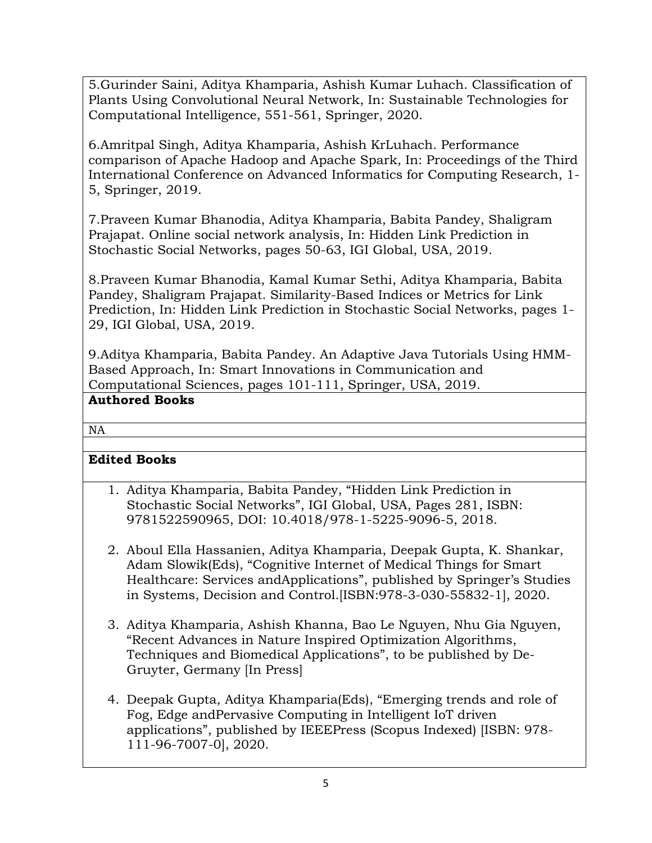5.Gurinder Saini, Aditya Khamparia, Ashish Kumar Luhach. Classification of Plants Using Convolutional Neural Network, In: Sustainable Technologies for Computational Intelligence, 551-561, Springer, 2020.

6.Amritpal Singh, Aditya Khamparia, Ashish KrLuhach. Performance comparison of Apache Hadoop and Apache Spark, In: Proceedings of the Third International Conference on Advanced Informatics for Computing Research, 1- 5, Springer, 2019.

7.Praveen Kumar Bhanodia, Aditya Khamparia, Babita Pandey, Shaligram Prajapat. Online social network analysis, In: Hidden Link Prediction in Stochastic Social Networks, pages 50-63, IGI Global, USA, 2019.

8.Praveen Kumar Bhanodia, Kamal Kumar Sethi, Aditya Khamparia, Babita Pandey, Shaligram Prajapat. Similarity-Based Indices or Metrics for Link Prediction, In: Hidden Link Prediction in Stochastic Social Networks, pages 1- 29, IGI Global, USA, 2019.

9.Aditya Khamparia, Babita Pandey. An Adaptive Java Tutorials Using HMM-Based Approach, In: Smart Innovations in Communication and Computational Sciences, pages 101-111, Springer, USA, 2019.

# **Authored Books**

## NA

# **Edited Books**

- 1. Aditya Khamparia, Babita Pandey, "Hidden Link Prediction in Stochastic Social Networks", IGI Global, USA, Pages 281, ISBN: 9781522590965, DOI: 10.4018/978-1-5225-9096-5, 2018.
- 2. Aboul Ella Hassanien, Aditya Khamparia, Deepak Gupta, K. Shankar, Adam Slowik(Eds), "Cognitive Internet of Medical Things for Smart Healthcare: Services andApplications", published by Springer's Studies in Systems, Decision and Control.[ISBN:978-3-030-55832-1], 2020.
- 3. Aditya Khamparia, Ashish Khanna, Bao Le Nguyen, Nhu Gia Nguyen, "Recent Advances in Nature Inspired Optimization Algorithms, Techniques and Biomedical Applications", to be published by De-Gruyter, Germany [In Press]
- 4. Deepak Gupta, Aditya Khamparia(Eds), "Emerging trends and role of Fog, Edge andPervasive Computing in Intelligent IoT driven applications", published by IEEEPress (Scopus Indexed) [ISBN: 978- 111-96-7007-0], 2020.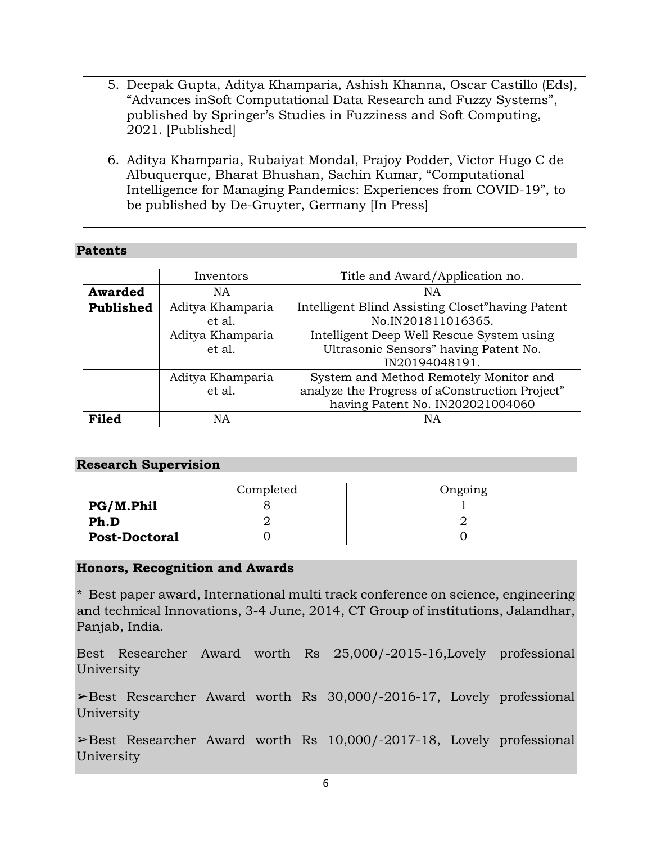- 5. Deepak Gupta, Aditya Khamparia, Ashish Khanna, Oscar Castillo (Eds), "Advances inSoft Computational Data Research and Fuzzy Systems", published by Springer's Studies in Fuzziness and Soft Computing, 2021. [Published]
- 6. Aditya Khamparia, Rubaiyat Mondal, Prajoy Podder, Victor Hugo C de Albuquerque, Bharat Bhushan, Sachin Kumar, "Computational Intelligence for Managing Pandemics: Experiences from COVID-19", to be published by De-Gruyter, Germany [In Press]

## **Patents**

|                  | Inventors                  | Title and Award/Application no.                                                                                              |
|------------------|----------------------------|------------------------------------------------------------------------------------------------------------------------------|
| <b>Awarded</b>   | NA                         | NA                                                                                                                           |
| <b>Published</b> | Aditya Khamparia<br>et al. | Intelligent Blind Assisting Closet"having Patent<br>No.IN201811016365.                                                       |
|                  | Aditya Khamparia<br>et al. | Intelligent Deep Well Rescue System using<br>Ultrasonic Sensors" having Patent No.<br>IN20194048191.                         |
|                  | Aditya Khamparia<br>et al. | System and Method Remotely Monitor and<br>analyze the Progress of aConstruction Project"<br>having Patent No. IN202021004060 |
| <b>Filed</b>     | ΝA                         | ΝA                                                                                                                           |

### **Research Supervision**

|                      | Completed | Ongoing |
|----------------------|-----------|---------|
| PG/M.Phil            |           |         |
| Ph.D                 |           |         |
| <b>Post-Doctoral</b> |           |         |

## **Honors, Recognition and Awards**

\* Best paper award, International multi track conference on science, engineering and technical Innovations, 3-4 June, 2014, CT Group of institutions, Jalandhar, Panjab, India.

Best Researcher Award worth Rs 25,000/-2015-16,Lovely professional University

➢Best Researcher Award worth Rs 30,000/-2016-17, Lovely professional University

 $\blacktriangleright$ Best Researcher Award worth Rs 10,000/-2017-18, Lovely professional University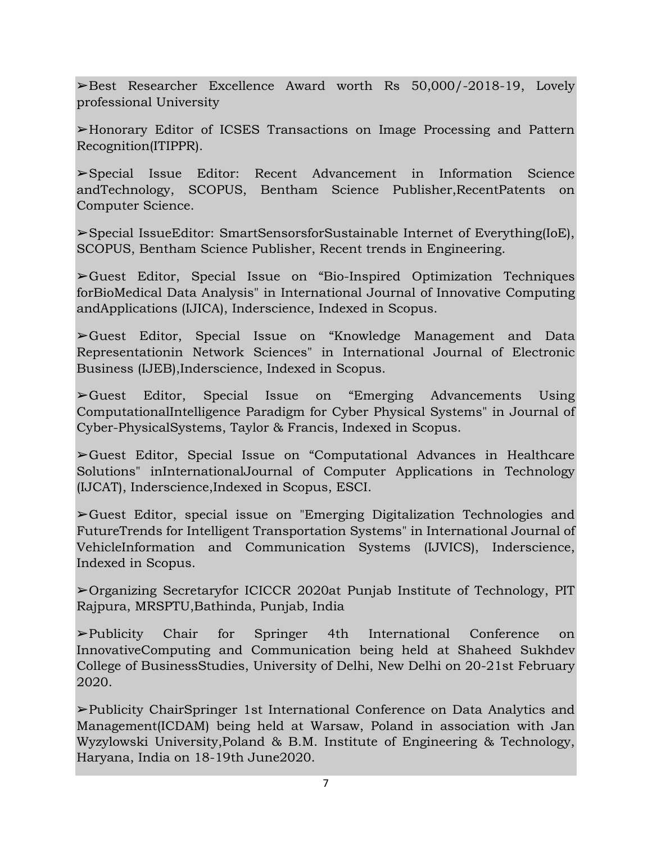➢Best Researcher Excellence Award worth Rs 50,000/-2018-19, Lovely professional University

➢Honorary Editor of ICSES Transactions on Image Processing and Pattern Recognition(ITIPPR).

➢Special Issue Editor: Recent Advancement in Information Science andTechnology, SCOPUS, Bentham Science Publisher,RecentPatents on Computer Science.

➢Special IssueEditor: SmartSensorsforSustainable Internet of Everything(IoE), SCOPUS, Bentham Science Publisher, Recent trends in Engineering.

➢Guest Editor, Special Issue on "Bio-Inspired Optimization Techniques forBioMedical Data Analysis" in International Journal of Innovative Computing andApplications (IJICA), Inderscience, Indexed in Scopus.

➢Guest Editor, Special Issue on "Knowledge Management and Data Representationin Network Sciences" in International Journal of Electronic Business (IJEB),Inderscience, Indexed in Scopus.

➢Guest Editor, Special Issue on "Emerging Advancements Using ComputationalIntelligence Paradigm for Cyber Physical Systems" in Journal of Cyber-PhysicalSystems, Taylor & Francis, Indexed in Scopus.

➢Guest Editor, Special Issue on "Computational Advances in Healthcare Solutions" inInternationalJournal of Computer Applications in Technology (IJCAT), Inderscience,Indexed in Scopus, ESCI.

➢Guest Editor, special issue on "Emerging Digitalization Technologies and FutureTrends for Intelligent Transportation Systems" in International Journal of VehicleInformation and Communication Systems (IJVICS), Inderscience, Indexed in Scopus.

➢Organizing Secretaryfor ICICCR 2020at Punjab Institute of Technology, PIT Rajpura, MRSPTU,Bathinda, Punjab, India

➢Publicity Chair for Springer 4th International Conference on InnovativeComputing and Communication being held at Shaheed Sukhdev College of BusinessStudies, University of Delhi, New Delhi on 20-21st February 2020.

➢Publicity ChairSpringer 1st International Conference on Data Analytics and Management(ICDAM) being held at Warsaw, Poland in association with Jan Wyzylowski University,Poland & B.M. Institute of Engineering & Technology, Haryana, India on 18-19th June2020.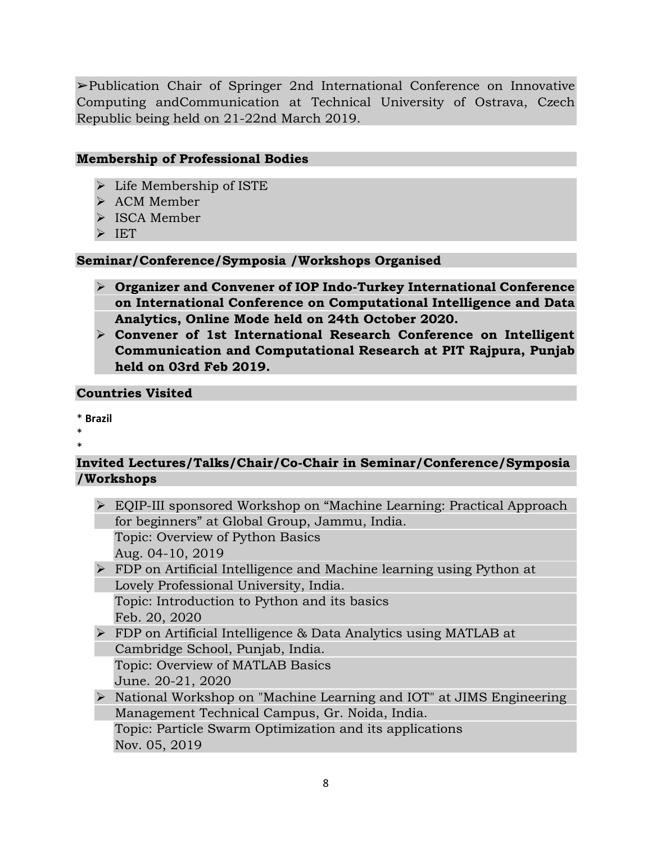➢Publication Chair of Springer 2nd International Conference on Innovative Computing andCommunication at Technical University of Ostrava, Czech Republic being held on 21-22nd March 2019.

## **Membership of Professional Bodies**

- ➢ Life Membership of ISTE
- ➢ ACM Member
- ➢ ISCA Member
- ➢ IET

## **Seminar/Conference/Symposia /Workshops Organised**

- ➢ **Organizer and Convener of IOP Indo-Turkey International Conference on International Conference on Computational Intelligence and Data Analytics, Online Mode held on 24th October 2020.**
- ➢ **Convener of 1st International Research Conference on Intelligent Communication and Computational Research at PIT Rajpura, Punjab held on 03rd Feb 2019.**

# **Countries Visited**

\* **Brazil**

\*

# \*

# **Invited Lectures/Talks/Chair/Co-Chair in Seminar/Conference/Symposia /Workshops**

➢ EQIP-III sponsored Workshop on "Machine Learning: Practical Approach for beginners" at Global Group, Jammu, India. Topic: Overview of Python Basics

Aug. 04-10, 2019

➢ FDP on Artificial Intelligence and Machine learning using Python at Lovely Professional University, India. Topic: Introduction to Python and its basics

Feb. 20, 2020

- ➢ FDP on Artificial Intelligence & Data Analytics using MATLAB at Cambridge School, Punjab, India. Topic: Overview of MATLAB Basics
- June. 20-21, 2020
- ➢ National Workshop on "Machine Learning and IOT" at JIMS Engineering Management Technical Campus, Gr. Noida, India. Topic: Particle Swarm Optimization and its applications Nov. 05, 2019